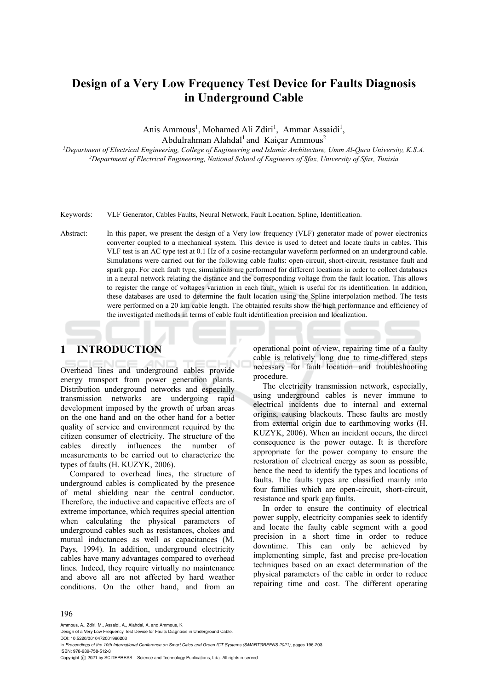# **Design of a Very Low Frequency Test Device for Faults Diagnosis in Underground Cable**

Anis Ammous<sup>1</sup>, Mohamed Ali Zdiri<sup>1</sup>, Ammar Assaidi<sup>1</sup>,

Abdulrahman Alahdal<sup>1</sup> and Kaicar Ammous<sup>2</sup>

<sup>1</sup>Department of Electrical Engineering, College of Engineering and Islamic Architecture, Umm Al-Oura University, K.S.A. <sup>2</sup>Department of Electrical Engineering, National School of Engineers of Sfax, University of Sfax, Tunisia

Keywords: VLF Generator, Cables Faults, Neural Network, Fault Location, Spline, Identification.

Abstract: In this paper, we present the design of a Very low frequency (VLF) generator made of power electronics converter coupled to a mechanical system. This device is used to detect and locate faults in cables. This VLF test is an AC type test at 0.1 Hz of a cosine-rectangular waveform performed on an underground cable. Simulations were carried out for the following cable faults: open-circuit, short-circuit, resistance fault and spark gap. For each fault type, simulations are performed for different locations in order to collect databases in a neural network relating the distance and the corresponding voltage from the fault location. This allows to register the range of voltages variation in each fault, which is useful for its identification. In addition, these databases are used to determine the fault location using the Spline interpolation method. The tests were performed on a 20 km cable length. The obtained results show the high performance and efficiency of the investigated methods in terms of cable fault identification precision and localization.

# **1 INTRODUCTION**

Overhead lines and underground cables provide energy transport from power generation plants. Distribution underground networks and especially transmission networks are undergoing rapid development imposed by the growth of urban areas on the one hand and on the other hand for a better quality of service and environment required by the citizen consumer of electricity. The structure of the cables directly influences the number of measurements to be carried out to characterize the types of faults (H. KUZYK, 2006).

Compared to overhead lines, the structure of underground cables is complicated by the presence of metal shielding near the central conductor. Therefore, the inductive and capacitive effects are of extreme importance, which requires special attention when calculating the physical parameters of underground cables such as resistances, chokes and mutual inductances as well as capacitances (M. Pays, 1994). In addition, underground electricity cables have many advantages compared to overhead lines. Indeed, they require virtually no maintenance and above all are not affected by hard weather conditions. On the other hand, and from an

operational point of view, repairing time of a faulty cable is relatively long due to time-differed steps necessary for fault location and troubleshooting procedure.

The electricity transmission network, especially, using underground cables is never immune to electrical incidents due to internal and external origins, causing blackouts. These faults are mostly from external origin due to earthmoving works (H. KUZYK, 2006). When an incident occurs, the direct consequence is the power outage. It is therefore appropriate for the power company to ensure the restoration of electrical energy as soon as possible, hence the need to identify the types and locations of faults. The faults types are classified mainly into four families which are open-circuit, short-circuit, resistance and spark gap faults.

In order to ensure the continuity of electrical power supply, electricity companies seek to identify and locate the faulty cable segment with a good precision in a short time in order to reduce downtime. This can only be achieved by implementing simple, fast and precise pre-location techniques based on an exact determination of the physical parameters of the cable in order to reduce repairing time and cost. The different operating

#### 196

Ammous, A., Zdiri, M., Assaidi, A., Alahdal, A. and Ammous, K.

DOI: 10.5220/0010472001960203

In *Proceedings of the 10th International Conference on Smart Cities and Green ICT Systems (SMARTGREENS 2021)*, pages 196-203 ISBN: 978-989-758-512-8

Copyright (C) 2021 by SCITEPRESS - Science and Technology Publications, Lda. All rights reserved

Design of a Very Low Frequency Test Device for Faults Diagnosis in Underground Cable.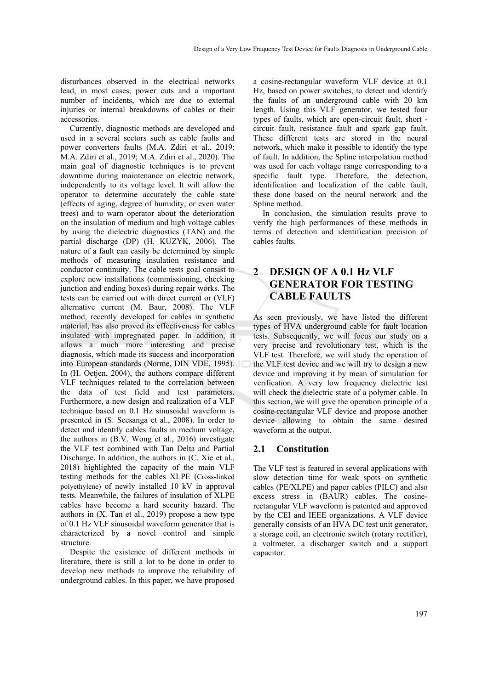disturbances observed in the electrical networks lead, in most cases, power cuts and a important number of incidents, which are due to external injuries or internal breakdowns of cables or their accessories.

Currently, diagnostic methods are developed and used in a several sectors such as cable faults and power converters faults (M.A. Zdiri et al., 2019; M.A. Zdiri et al., 2019; M.A. Zdiri et al., 2020). The main goal of diagnostic techniques is to prevent downtime during maintenance on electric network, independently to its voltage level. It will allow the operator to determine accurately the cable state (effects of aging, degree of humidity, or even water trees) and to warn operator about the deterioration on the insulation of medium and high voltage cables by using the dielectric diagnostics (TAN) and the partial discharge (DP) (H. KUZYK, 2006). The nature of a fault can easily be determined by simple methods of measuring insulation resistance and conductor continuity. The cable tests goal consist to explore new installations (commissioning, checking junction and ending boxes) during repair works. The tests can be carried out with direct current or (VLF) alternative current (M. Baur, 2008). The VLF method, recently developed for cables in synthetic material, has also proved its effectiveness for cables insulated with impregnated paper. In addition, it allows a much more interesting and precise diagnosis, which made its success and incorporation into European standards (Norme, DIN VDE, 1995). In (H. Oetjen, 2004), the authors compare different VLF techniques related to the correlation between the data of test field and test parameters. Furthermore, a new design and realization of a VLF technique based on 0.1 Hz sinusoidal waveform is presented in (S. Seesanga et al., 2008). In order to detect and identify cables faults in medium voltage, the authors in (B.V. Wong et al., 2016) investigate the VLF test combined with Tan Delta and Partial Discharge. In addition, the authors in (C. Xie et al., 2018) highlighted the capacity of the main VLF testing methods for the cables XLPE (Cross-linked polyethylene) of newly installed 10 kV in approval tests. Meanwhile, the failures of insulation of XLPE cables have become a hard security hazard. The authors in  $(X$ . Tan et al., 2019) propose a new type of 0.1 Hz VLF sinusoidal waveform generator that is characterized by a novel control and simple structure.

Despite the existence of different methods in literature, there is still a lot to be done in order to develop new methods to improve the reliability of underground cables. In this paper, we have proposed

a cosine-rectangular waveform VLF device at 0.1 Hz, based on power switches, to detect and identify the faults of an underground cable with 20 km length. Using this VLF generator, we tested four types of faults, which are open-circuit fault, short circuit fault, resistance fault and spark gap fault. These different tests are stored in the neural network, which make it possible to identify the type of fault. In addition, the Spline interpolation method was used for each voltage range corresponding to a specific fault type. Therefore, the detection, identification and localization of the cable fault, these done based on the neural network and the Spline method.

In conclusion, the simulation results prove to verify the high performances of these methods in terms of detection and identification precision of cables faults.

# **2 DESIGN OF A 0.1 Hz VLF GENERATOR FOR TESTING CABLE FAULTS**

As seen previously, we have listed the different types of HVA underground cable for fault location tests. Subsequently, we will focus our study on a very precise and revolutionary test, which is the VLF test. Therefore, we will study the operation of the VLF test device and we will try to design a new device and improving it by mean of simulation for verification. A very low frequency dielectric test will check the dielectric state of a polymer cable. In this section, we will give the operation principle of a cosine-rectangular VLF device and propose another device allowing to obtain the same desired waveform at the output.

#### **2.1 Constitution**

The VLF test is featured in several applications with slow detection time for weak spots on synthetic cables (PE/XLPE) and paper cables (PILC) and also excess stress in (BAUR) cables. The cosinerectangular VLF waveform is patented and approved by the CEI and IEEE organizations. A VLF device generally consists of an HVA DC test unit generator, a storage coil, an electronic switch (rotary rectifier), a voltmeter, a discharger switch and a support capacitor.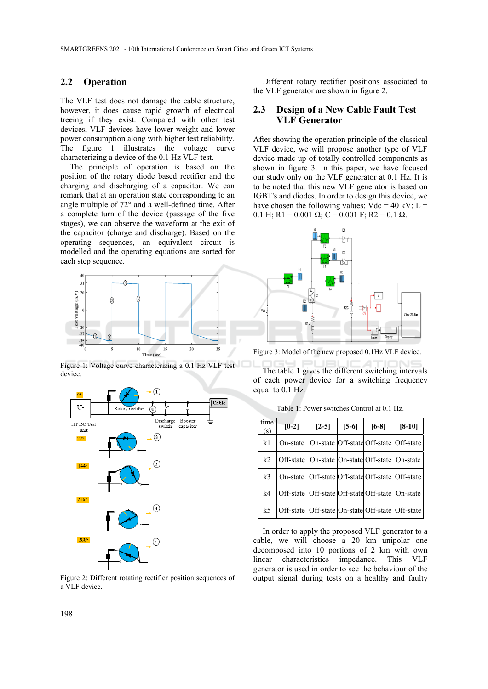### **2.2 Operation**

The VLF test does not damage the cable structure, however, it does cause rapid growth of electrical treeing if they exist. Compared with other test devices, VLF devices have lower weight and lower power consumption along with higher test reliability. The figure 1 illustrates the voltage curve characterizing a device of the 0.1 Hz VLF test.

The principle of operation is based on the position of the rotary diode based rectifier and the charging and discharging of a capacitor. We can remark that at an operation state corresponding to an angle multiple of 72° and a well-defined time. After a complete turn of the device (passage of the five stages), we can observe the waveform at the exit of the capacitor (charge and discharge). Based on the operating sequences, an equivalent circuit is modelled and the operating equations are sorted for each step sequence.



device.



Figure 2: Different rotating rectifier position sequences of a VLF device.

Different rotary rectifier positions associated to the VLF generator are shown in figure 2.

#### **2.3 Design of a New Cable Fault Test VLF Generator**

After showing the operation principle of the classical VLF device, we will propose another type of VLF device made up of totally controlled components as shown in figure 3. In this paper, we have focused our study only on the VLF generator at 0.1 Hz. It is to be noted that this new VLF generator is based on IGBT's and diodes. In order to design this device, we have chosen the following values:  $Vdc = 40$  kV;  $L =$ 0.1 H; R1 = 0.001 Ω; C = 0.001 F; R2 = 0.1 Ω.



Figure 3: Model of the new proposed 0.1Hz VLF device.

The table 1 gives the different switching intervals of each power device for a switching frequency equal to 0.1 Hz.

| time<br>(s)    | $[0-2]$  | $[2-5]$                                                | $[5-6]$ | $[6-8]$ | $[8-10]$ |
|----------------|----------|--------------------------------------------------------|---------|---------|----------|
| k <sub>1</sub> | On-state | On-state Off-state Off-state Off-state                 |         |         |          |
| k <sub>2</sub> |          | Off-state   On-state   On-state   Off-state   On-state |         |         |          |
| k <sub>3</sub> |          | On-state   Off-state Off-state Off-state   Off-state   |         |         |          |
| k <sub>4</sub> |          | Off-state Off-state Off-state Off-state On-state       |         |         |          |
| k <sub>5</sub> |          | Off-state Off-state On-state Off-state Off-state       |         |         |          |

Table 1: Power switches Control at 0.1 Hz.

In order to apply the proposed VLF generator to a cable, we will choose a 20 km unipolar one decomposed into 10 portions of 2 km with own linear characteristics impedance. This VLF generator is used in order to see the behaviour of the output signal during tests on a healthy and faulty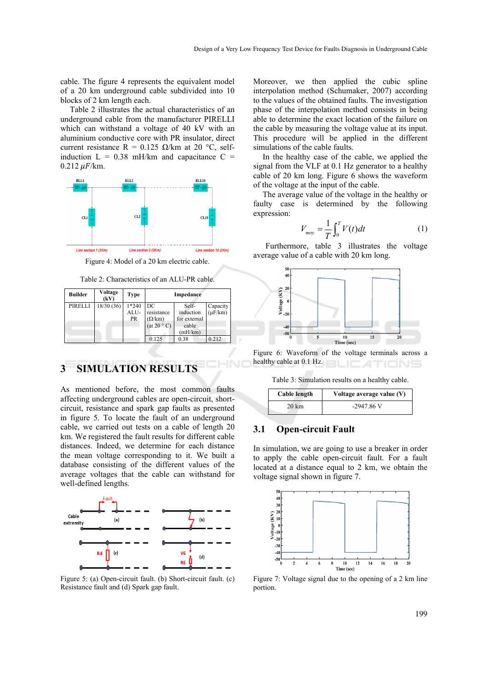cable. The figure 4 represents the equivalent model of a 20 km underground cable subdivided into 10 blocks of 2 km length each.

Table 2 illustrates the actual characteristics of an underground cable from the manufacturer PIRELLI which can withstand a voltage of 40 kV with an aluminium conductive core with PR insulator, direct current resistance R = 0.125  $\Omega$ /km at 20 °C, selfinduction  $L = 0.38$  mH/km and capacitance  $C =$  $0.212 \mu$ F/km.



Figure 4: Model of a 20 km electric cable.

Table 2: Characteristics of an ALU-PR cable.

| <b>Builder</b> | Voltage<br>(kV) | Type                         | Impedance                                              |                                                        |                             |  |
|----------------|-----------------|------------------------------|--------------------------------------------------------|--------------------------------------------------------|-----------------------------|--|
| PIRELLI        | 18/30 (36)      | $1*240$<br>ALU-<br><b>PR</b> | DC<br>resistance<br>$(\Omega/\text{km})$<br>(at 20 °C) | Self-<br>induction<br>for external<br>cable<br>(mH/km) | Capacity<br>$(\mu$ F/km $)$ |  |
|                |                 |                              | 0.125                                                  | 0.38                                                   | 0.212                       |  |

# **3 SIMULATION RESULTS**

As mentioned before, the most common faults affecting underground cables are open-circuit, shortcircuit, resistance and spark gap faults as presented in figure 5. To locate the fault of an underground cable, we carried out tests on a cable of length 20 km. We registered the fault results for different cable distances. Indeed, we determine for each distance the mean voltage corresponding to it. We built a database consisting of the different values of the average voltages that the cable can withstand for well-defined lengths.



Figure 5: (a) Open-circuit fault. (b) Short-circuit fault. (c) Resistance fault and (d) Spark gap fault.

Moreover, we then applied the cubic spline interpolation method (Schumaker, 2007) according to the values of the obtained faults. The investigation phase of the interpolation method consists in being able to determine the exact location of the failure on the cable by measuring the voltage value at its input. This procedure will be applied in the different simulations of the cable faults.

In the healthy case of the cable, we applied the signal from the VLF at 0.1 Hz generator to a healthy cable of 20 km long. Figure 6 shows the waveform of the voltage at the input of the cable.

The average value of the voltage in the healthy or faulty case is determined by the following expression:

$$
V_{moy} = \frac{1}{T} \int_0^T V(t) dt
$$
 (1)

Furthermore, table 3 illustrates the voltage average value of a cable with 20 km long.



Figure 6: Waveform of the voltage terminals across a healthy cable at 0.1 Hz. ATIONS

Table 3: Simulation results on a healthy cable.

| Cable length     | Voltage average value (V) |
|------------------|---------------------------|
| $20 \mathrm{km}$ | $-2947.86$ V              |

### **3.1 Open-circuit Fault**

In simulation, we are going to use a breaker in order to apply the cable open-circuit fault. For a fault located at a distance equal to 2 km, we obtain the voltage signal shown in figure 7.



Figure 7: Voltage signal due to the opening of a 2 km line portion.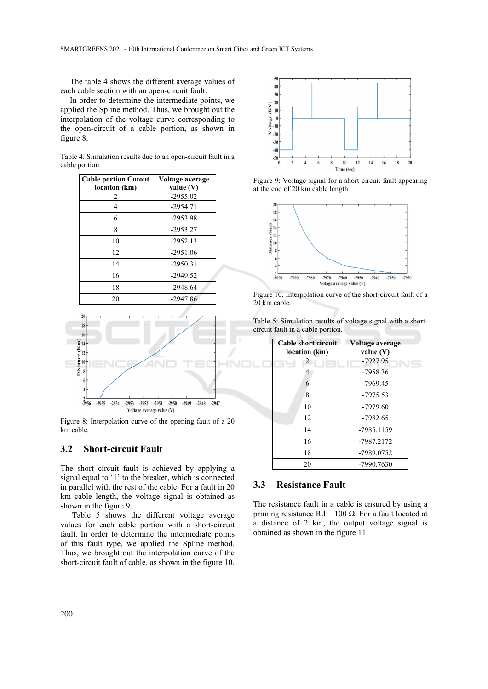The table 4 shows the different average values of each cable section with an open-circuit fault.

In order to determine the intermediate points, we applied the Spline method. Thus, we brought out the interpolation of the voltage curve corresponding to the open-circuit of a cable portion, as shown in figure 8.

| Table 4: Simulation results due to an open-circuit fault in a |  |
|---------------------------------------------------------------|--|
| cable portion.                                                |  |

| <b>Cable portion Cutout</b> | Voltage average |
|-----------------------------|-----------------|
| location (km)               | value $(V)$     |
| 2                           | $-2955.02$      |
| 4                           | $-2954.71$      |
| 6                           | -2953.98        |
| 8                           | $-2953.27$      |
| 10                          | $-2952.13$      |
| 12                          | $-2951.06$      |
| 14                          | $-2950.31$      |
| 16                          | $-2949.52$      |
| 18                          | $-2948.64$      |
| 20                          | $-2947.86$      |



Figure 8: Interpolation curve of the opening fault of a 20 km cable*.*

#### **3.2 Short-circuit Fault**

The short circuit fault is achieved by applying a signal equal to '1' to the breaker, which is connected in parallel with the rest of the cable. For a fault in 20 km cable length, the voltage signal is obtained as shown in the figure 9.

Table 5 shows the different voltage average values for each cable portion with a short-circuit fault. In order to determine the intermediate points of this fault type, we applied the Spline method. Thus, we brought out the interpolation curve of the short-circuit fault of cable, as shown in the figure 10.



Figure 9: Voltage signal for a short-circuit fault appearing at the end of 20 km cable length.



Figure 10: Interpolation curve of the short-circuit fault of a 20 km cable.

| Table 5: Simulation results of voltage signal with a short- |  |
|-------------------------------------------------------------|--|
| circuit fault in a cable portion.                           |  |

| Cable short circuit<br>location (km) | Voltage average<br>value $(V)$<br>-7927.95 |  |  |
|--------------------------------------|--------------------------------------------|--|--|
| 2                                    |                                            |  |  |
| 4                                    | -7958.36                                   |  |  |
| 6                                    | $-7969.45$                                 |  |  |
| 8                                    | $-7975.53$                                 |  |  |
| 10                                   | $-7979.60$                                 |  |  |
| 12                                   | $-7982.65$                                 |  |  |
| 14                                   | -7985.1159                                 |  |  |
| 16                                   | -7987.2172                                 |  |  |
| 18                                   | -7989.0752                                 |  |  |
| 20                                   | -7990.7630                                 |  |  |

#### **3.3 Resistance Fault**

The resistance fault in a cable is ensured by using a priming resistance Rd = 100 Ω. For a fault located at a distance of 2 km, the output voltage signal is obtained as shown in the figure 11.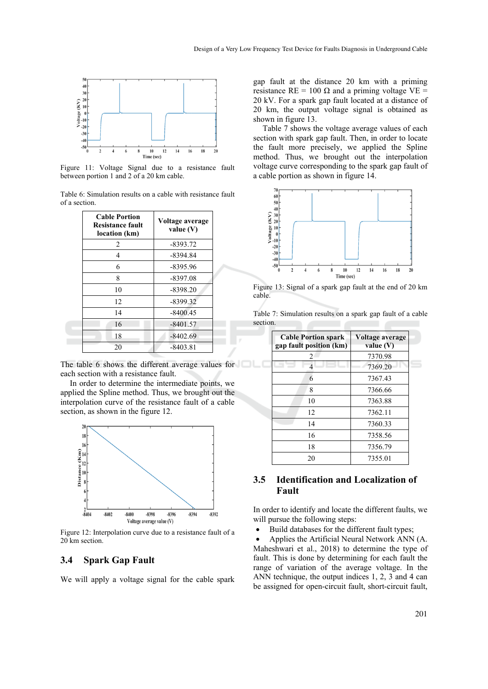

Figure 11: Voltage Signal due to a resistance fault between portion 1 and 2 of a 20 km cable.

Table 6: Simulation results on a cable with resistance fault of a section.

| <b>Cable Portion</b><br>Resistance fault<br>location (km) | Voltage average<br>value $(V)$ |
|-----------------------------------------------------------|--------------------------------|
| 2                                                         | $-8393.72$                     |
| 4                                                         | $-8394.84$                     |
| 6                                                         | $-8395.96$                     |
| 8                                                         | $-8397.08$                     |
| 10                                                        | $-8398.20$                     |
| 12                                                        | $-8399.32$                     |
| 14                                                        | $-8400.45$                     |
| 16                                                        | $-8401.57$                     |
| 18                                                        | $-8402.69$                     |
| 20                                                        | $-8403.81$                     |

The table 6 shows the different average values for each section with a resistance fault.

In order to determine the intermediate points, we applied the Spline method. Thus, we brought out the interpolation curve of the resistance fault of a cable section, as shown in the figure 12.



Figure 12: Interpolation curve due to a resistance fault of a 20 km section.

#### **3.4 Spark Gap Fault**

We will apply a voltage signal for the cable spark

gap fault at the distance 20 km with a priming resistance RE = 100  $\Omega$  and a priming voltage VE = 20 kV. For a spark gap fault located at a distance of 20 km, the output voltage signal is obtained as shown in figure 13.

Table 7 shows the voltage average values of each section with spark gap fault. Then, in order to locate the fault more precisely, we applied the Spline method. Thus, we brought out the interpolation voltage curve corresponding to the spark gap fault of a cable portion as shown in figure 14.



Figure 13: Signal of a spark gap fault at the end of 20 km cable.

| Table 7: Simulation results on a spark gap fault of a cable |  |  |  |  |
|-------------------------------------------------------------|--|--|--|--|
| section.                                                    |  |  |  |  |

| <b>Cable Portion spark</b><br>gap fault position (km) | Voltage average<br>value $(V)$ |  |  |
|-------------------------------------------------------|--------------------------------|--|--|
| 2                                                     | 7370.98                        |  |  |
| 4                                                     | 7369.20                        |  |  |
| 6                                                     | 7367.43                        |  |  |
| 8                                                     | 7366.66                        |  |  |
| 10                                                    | 7363.88                        |  |  |
| 12                                                    | 7362.11                        |  |  |
| 14                                                    | 7360.33                        |  |  |
| 16                                                    | 7358.56                        |  |  |
| 18                                                    | 7356.79                        |  |  |
| 20                                                    | 7355.01                        |  |  |

### **3.5 Identification and Localization of Fault**

In order to identify and locate the different faults, we will pursue the following steps:

Build databases for the different fault types;

• Applies the Artificial Neural Network ANN (A. Maheshwari et al., 2018) to determine the type of fault. This is done by determining for each fault the range of variation of the average voltage. In the ANN technique, the output indices 1, 2, 3 and 4 can be assigned for open-circuit fault, short-circuit fault,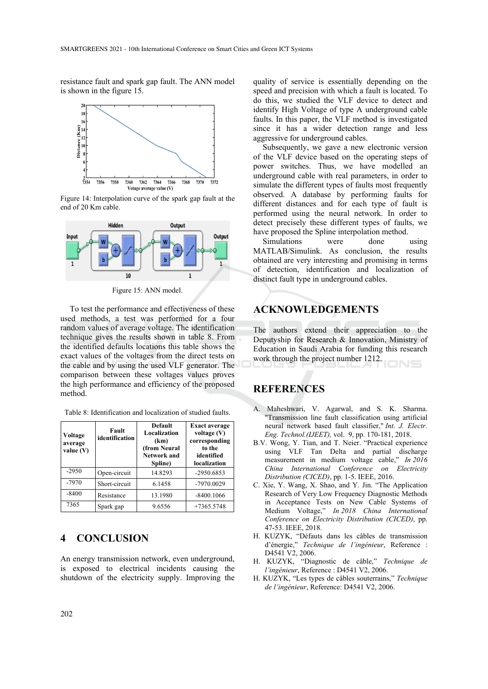resistance fault and spark gap fault. The ANN model is shown in the figure 15.



Figure 14: Interpolation curve of the spark gap fault at the end of 20 Km cable.



Figure 15: ANN model.

To test the performance and effectiveness of these used methods, a test was performed for a four random values of average voltage. The identification technique gives the results shown in table 8. From the identified defaults locations this table shows the exact values of the voltages from the direct tests on the cable and by using the used VLF generator. The comparison between these voltages values proves the high performance and efficiency of the proposed method.

Table 8: Identification and localization of studied faults.

| Fault<br>Voltage<br>identification<br>average<br>value $(V)$ |               | <b>Default</b><br>Localization<br>(km)<br>(from Neural<br><b>Network and</b><br>Spline) | <b>Exact average</b><br>voltage $(V)$<br>corresponding<br>to the<br>identified<br>localization |  |
|--------------------------------------------------------------|---------------|-----------------------------------------------------------------------------------------|------------------------------------------------------------------------------------------------|--|
| $-2950$                                                      | Open-circuit  | 14.8293                                                                                 | $-2950.6853$                                                                                   |  |
| $-7970$                                                      | Short-circuit | 6.1458                                                                                  | -7970.0029                                                                                     |  |
| $-8400$                                                      | Resistance    | 13.1980                                                                                 | $-8400.1066$                                                                                   |  |
| 7365                                                         | Spark gap     | 9.6556                                                                                  | $+7365.5748$                                                                                   |  |

### **4 CONCLUSION**

An energy transmission network, even underground, is exposed to electrical incidents causing the shutdown of the electricity supply. Improving the quality of service is essentially depending on the speed and precision with which a fault is located. To do this, we studied the VLF device to detect and identify High Voltage of type A underground cable faults. In this paper, the VLF method is investigated since it has a wider detection range and less aggressive for underground cables.

Subsequently, we gave a new electronic version of the VLF device based on the operating steps of power switches. Thus, we have modelled an underground cable with real parameters, in order to simulate the different types of faults most frequently observed. A database by performing faults for different distances and for each type of fault is performed using the neural network. In order to detect precisely these different types of faults, we have proposed the Spline interpolation method.

Simulations were done using MATLAB/Simulink. As conclusion, the results obtained are very interesting and promising in terms of detection, identification and localization of distinct fault type in underground cables.

## **ACKNOWLEDGEMENTS**

The authors extend their appreciation to the Deputyship for Research & Innovation, Ministry of Education in Saudi Arabia for funding this research work through the project number 1212.

### **REFERENCES**

- A. Maheshwari, V. Agarwal, and S. K. Sharma. "Transmission line fault classification using artificial neural network based fault classifier," *Int. J. Electr. Eng. Technol.(IJEET),* vol. 9, pp. 170-181, 2018.
- B.V. Wong, Y. Tian, and T. Neier. "Practical experience using VLF Tan Delta and partial discharge measurement in medium voltage cable," *In 2016 China International Conference on Electricity Distribution (CICED)*, pp. 1-5. IEEE, 2016.
- C. Xie, Y. Wang, X. Shao, and Y. Jin. "The Application Research of Very Low Frequency Diagnostic Methods in Acceptance Tests on New Cable Systems of Medium Voltage," *In 2018 China International Conference on Electricity Distribution (CICED)*, pp. 47-53. IEEE, 2018.
- H. KUZYK, "Défauts dans les câbles de transmission d'énergie," *Technique de l'ingénieur*, Reference : D4541 V2, 2006.
- H. KUZYK, "Diagnostic de câble," *Technique de l'ingénieur*, Reference : D4541 V2, 2006.
- H. KUZYK, "Les types de câbles souterrains," *Technique de l'ingénieur*, Reference: D4541 V2, 2006.